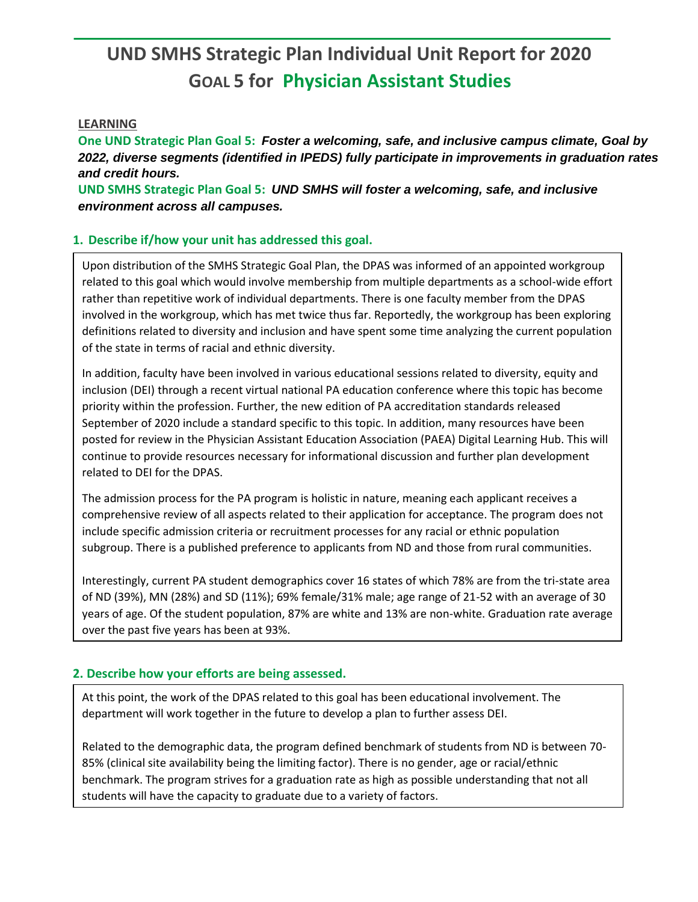# **UND SMHS Strategic Plan Individual Unit Report for 2020 GOAL 5 for Physician Assistant Studies**

#### **LEARNING**

**One UND Strategic Plan Goal 5:** *Foster a welcoming, safe, and inclusive campus climate, Goal by 2022, diverse segments (identified in IPEDS) fully participate in improvements in graduation rates and credit hours.*

**UND SMHS Strategic Plan Goal 5:** *UND SMHS will foster a welcoming, safe, and inclusive environment across all campuses.*

### **1. Describe if/how your unit has addressed this goal.**

Upon distribution of the SMHS Strategic Goal Plan, the DPAS was informed of an appointed workgroup related to this goal which would involve membership from multiple departments as a school-wide effort rather than repetitive work of individual departments. There is one faculty member from the DPAS involved in the workgroup, which has met twice thus far. Reportedly, the workgroup has been exploring definitions related to diversity and inclusion and have spent some time analyzing the current population of the state in terms of racial and ethnic diversity.

In addition, faculty have been involved in various educational sessions related to diversity, equity and inclusion (DEI) through a recent virtual national PA education conference where this topic has become priority within the profession. Further, the new edition of PA accreditation standards released September of 2020 include a standard specific to this topic. In addition, many resources have been posted for review in the Physician Assistant Education Association (PAEA) Digital Learning Hub. This will continue to provide resources necessary for informational discussion and further plan development related to DEI for the DPAS.

The admission process for the PA program is holistic in nature, meaning each applicant receives a comprehensive review of all aspects related to their application for acceptance. The program does not include specific admission criteria or recruitment processes for any racial or ethnic population subgroup. There is a published preference to applicants from ND and those from rural communities.

Interestingly, current PA student demographics cover 16 states of which 78% are from the tri-state area of ND (39%), MN (28%) and SD (11%); 69% female/31% male; age range of 21-52 with an average of 30 years of age. Of the student population, 87% are white and 13% are non-white. Graduation rate average over the past five years has been at 93%.

#### **2. Describe how your efforts are being assessed.**

At this point, the work of the DPAS related to this goal has been educational involvement. The department will work together in the future to develop a plan to further assess DEI.

Related to the demographic data, the program defined benchmark of students from ND is between 70- 85% (clinical site availability being the limiting factor). There is no gender, age or racial/ethnic benchmark. The program strives for a graduation rate as high as possible understanding that not all students will have the capacity to graduate due to a variety of factors.